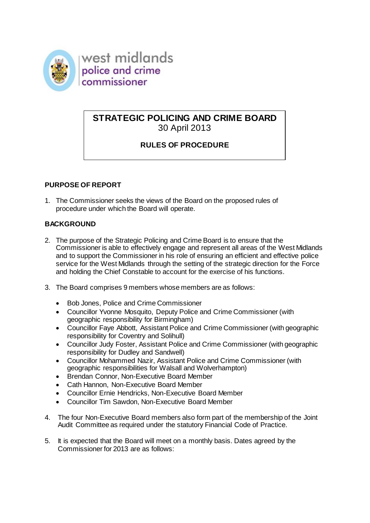

west midlands police and crime commissioner

# **STRATEGIC POLICING AND CRIME BOARD** 30 April 2013

# **RULES OF PROCEDURE**

## **PURPOSE OF REPORT**

1. The Commissioner seeks the views of the Board on the proposed rules of procedure under which the Board will operate.

## **BACKGROUND**

- 2. The purpose of the Strategic Policing and Crime Board is to ensure that the Commissioner is able to effectively engage and represent all areas of the West Midlands and to support the Commissioner in his role of ensuring an efficient and effective police service for the West Midlands through the setting of the strategic direction for the Force and holding the Chief Constable to account for the exercise of his functions.
- 3. The Board comprises 9 members whose members are as follows:
	- Bob Jones, Police and Crime Commissioner
	- Councillor Yvonne Mosquito, Deputy Police and Crime Commissioner (with geographic responsibility for Birmingham)
	- Councillor Faye Abbott, Assistant Police and Crime Commissioner (with geographic responsibility for Coventry and Solihull)
	- Councillor Judy Foster, Assistant Police and Crime Commissioner (with geographic responsibility for Dudley and Sandwell)
	- Councillor Mohammed Nazir, Assistant Police and Crime Commissioner (with geographic responsibilities for Walsall and Wolverhampton)
	- Brendan Connor, Non-Executive Board Member
	- Cath Hannon, Non-Executive Board Member
	- Councillor Ernie Hendricks, Non-Executive Board Member
	- Councillor Tim Sawdon, Non-Executive Board Member
- 4. The four Non-Executive Board members also form part of the membership of the Joint Audit Committee as required under the statutory Financial Code of Practice.
- 5. It is expected that the Board will meet on a monthly basis. Dates agreed by the Commissioner for 2013 are as follows: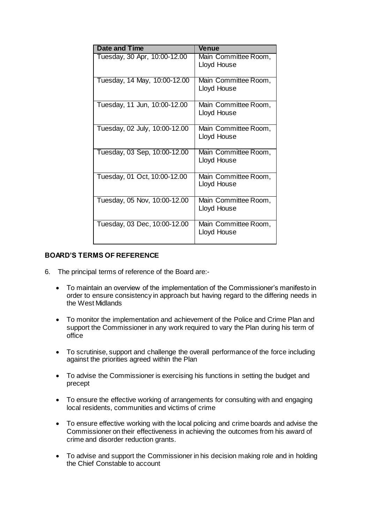| <b>Date and Time</b>          | Venue                               |
|-------------------------------|-------------------------------------|
| Tuesday, 30 Apr, 10:00-12.00  | Main Committee Room,<br>Lloyd House |
| Tuesday, 14 May, 10:00-12.00  | Main Committee Room,<br>Lloyd House |
| Tuesday, 11 Jun, 10:00-12.00  | Main Committee Room,<br>Lloyd House |
| Tuesday, 02 July, 10:00-12.00 | Main Committee Room,<br>Lloyd House |
| Tuesday, 03 Sep, 10:00-12.00  | Main Committee Room,<br>Lloyd House |
| Tuesday, 01 Oct, 10:00-12.00  | Main Committee Room,<br>Lloyd House |
| Tuesday, 05 Nov, 10:00-12.00  | Main Committee Room,<br>Lloyd House |
| Tuesday, 03 Dec, 10:00-12.00  | Main Committee Room,<br>Lloyd House |

## **BOARD'S TERMS OF REFERENCE**

- 6. The principal terms of reference of the Board are:-
	- To maintain an overview of the implementation of the Commissioner's manifesto in order to ensure consistency in approach but having regard to the differing needs in the West Midlands
	- To monitor the implementation and achievement of the Police and Crime Plan and support the Commissioner in any work required to vary the Plan during his term of office
	- To scrutinise, support and challenge the overall performance of the force including against the priorities agreed within the Plan
	- To advise the Commissioner is exercising his functions in setting the budget and precept
	- To ensure the effective working of arrangements for consulting with and engaging local residents, communities and victims of crime
	- To ensure effective working with the local policing and crime boards and advise the Commissioner on their effectiveness in achieving the outcomes from his award of crime and disorder reduction grants.
	- To advise and support the Commissioner in his decision making role and in holding the Chief Constable to account